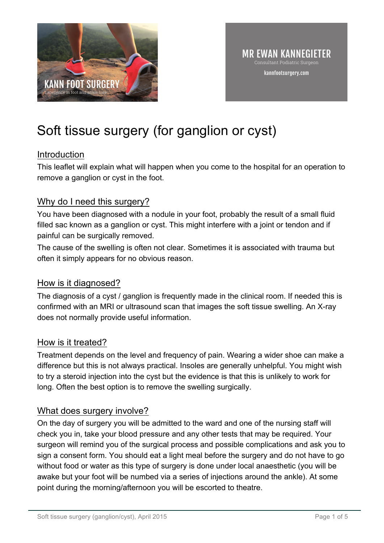

# Soft tissue surgery (for ganglion or cyst)

## Introduction

This leaflet will explain what will happen when you come to the hospital for an operation to remove a ganglion or cyst in the foot.

## Why do I need this surgery?

You have been diagnosed with a nodule in your foot, probably the result of a small fluid filled sac known as a ganglion or cyst. This might interfere with a joint or tendon and if painful can be surgically removed.

The cause of the swelling is often not clear. Sometimes it is associated with trauma but often it simply appears for no obvious reason.

## How is it diagnosed?

The diagnosis of a cyst / ganglion is frequently made in the clinical room. If needed this is confirmed with an MRI or ultrasound scan that images the soft tissue swelling. An X-ray does not normally provide useful information.

## How is it treated?

Treatment depends on the level and frequency of pain. Wearing a wider shoe can make a difference but this is not always practical. Insoles are generally unhelpful. You might wish to try a steroid injection into the cyst but the evidence is that this is unlikely to work for long. Often the best option is to remove the swelling surgically.

## What does surgery involve?

On the day of surgery you will be admitted to the ward and one of the nursing staff will check you in, take your blood pressure and any other tests that may be required. Your surgeon will remind you of the surgical process and possible complications and ask you to sign a consent form. You should eat a light meal before the surgery and do not have to go without food or water as this type of surgery is done under local anaesthetic (you will be awake but your foot will be numbed via a series of injections around the ankle). At some point during the morning/afternoon you will be escorted to theatre.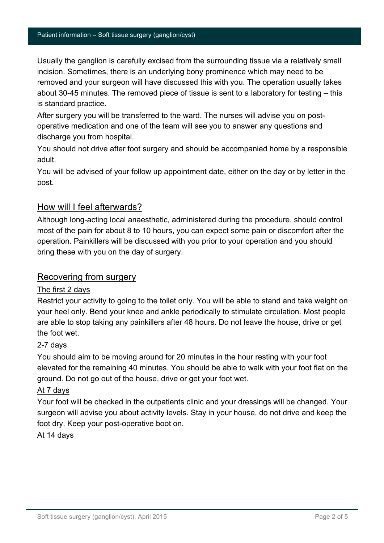Usually the ganglion is carefully excised from the surrounding tissue via a relatively small incision. Sometimes, there is an underlying bony prominence which may need to be removed and your surgeon will have discussed this with you. The operation usually takes about 30-45 minutes. The removed piece of tissue is sent to a laboratory for testing – this is standard practice.

After surgery you will be transferred to the ward. The nurses will advise you on postoperative medication and one of the team will see you to answer any questions and discharge you from hospital.

You should not drive after foot surgery and should be accompanied home by a responsible adult.

You will be advised of your follow up appointment date, either on the day or by letter in the post.

#### How will I feel afterwards?

Although long-acting local anaesthetic, administered during the procedure, should control most of the pain for about 8 to 10 hours, you can expect some pain or discomfort after the operation. Painkillers will be discussed with you prior to your operation and you should bring these with you on the day of surgery.

#### Recovering from surgery

#### The first 2 days

Restrict your activity to going to the toilet only. You will be able to stand and take weight on your heel only. Bend your knee and ankle periodically to stimulate circulation. Most people are able to stop taking any painkillers after 48 hours. Do not leave the house, drive or get the foot wet.

#### 2-7 days

You should aim to be moving around for 20 minutes in the hour resting with your foot elevated for the remaining 40 minutes. You should be able to walk with your foot flat on the ground. Do not go out of the house, drive or get your foot wet.

#### At 7 days

Your foot will be checked in the outpatients clinic and your dressings will be changed. Your surgeon will advise you about activity levels. Stay in your house, do not drive and keep the foot dry. Keep your post-operative boot on.

#### At 14 days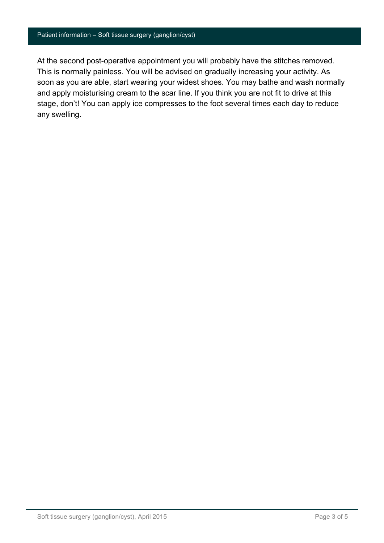#### Patient information – Soft tissue surgery (ganglion/cyst)

At the second post-operative appointment you will probably have the stitches removed. This is normally painless. You will be advised on gradually increasing your activity. As soon as you are able, start wearing your widest shoes. You may bathe and wash normally and apply moisturising cream to the scar line. If you think you are not fit to drive at this stage, don't! You can apply ice compresses to the foot several times each day to reduce any swelling.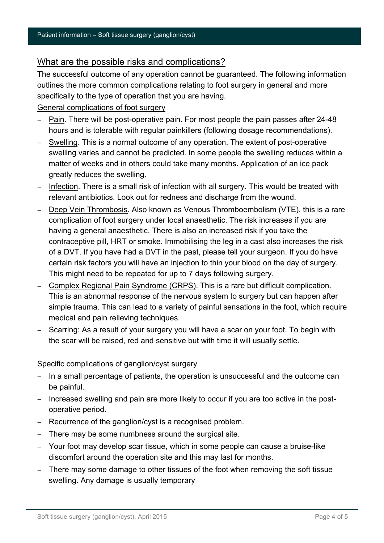#### What are the possible risks and complications?

The successful outcome of any operation cannot be guaranteed. The following information outlines the more common complications relating to foot surgery in general and more specifically to the type of operation that you are having.

#### General complications of foot surgery

- − Pain. There will be post-operative pain. For most people the pain passes after 24-48 hours and is tolerable with regular painkillers (following dosage recommendations).
- − Swelling. This is a normal outcome of any operation. The extent of post-operative swelling varies and cannot be predicted. In some people the swelling reduces within a matter of weeks and in others could take many months. Application of an ice pack greatly reduces the swelling.
- − Infection. There is a small risk of infection with all surgery. This would be treated with relevant antibiotics. Look out for redness and discharge from the wound.
- − Deep Vein Thrombosis. Also known as Venous Thromboembolism (VTE), this is a rare complication of foot surgery under local anaesthetic. The risk increases if you are having a general anaesthetic. There is also an increased risk if you take the contraceptive pill, HRT or smoke. Immobilising the leg in a cast also increases the risk of a DVT. If you have had a DVT in the past, please tell your surgeon. If you do have certain risk factors you will have an injection to thin your blood on the day of surgery. This might need to be repeated for up to 7 days following surgery.
- − Complex Regional Pain Syndrome (CRPS). This is a rare but difficult complication. This is an abnormal response of the nervous system to surgery but can happen after simple trauma. This can lead to a variety of painful sensations in the foot, which require medical and pain relieving techniques.
- − Scarring: As a result of your surgery you will have a scar on your foot. To begin with the scar will be raised, red and sensitive but with time it will usually settle.

#### Specific complications of ganglion/cyst surgery

- − In a small percentage of patients, the operation is unsuccessful and the outcome can be painful.
- − Increased swelling and pain are more likely to occur if you are too active in the postoperative period.
- − Recurrence of the ganglion/cyst is a recognised problem.
- − There may be some numbness around the surgical site.
- − Your foot may develop scar tissue, which in some people can cause a bruise-like discomfort around the operation site and this may last for months.
- − There may some damage to other tissues of the foot when removing the soft tissue swelling. Any damage is usually temporary